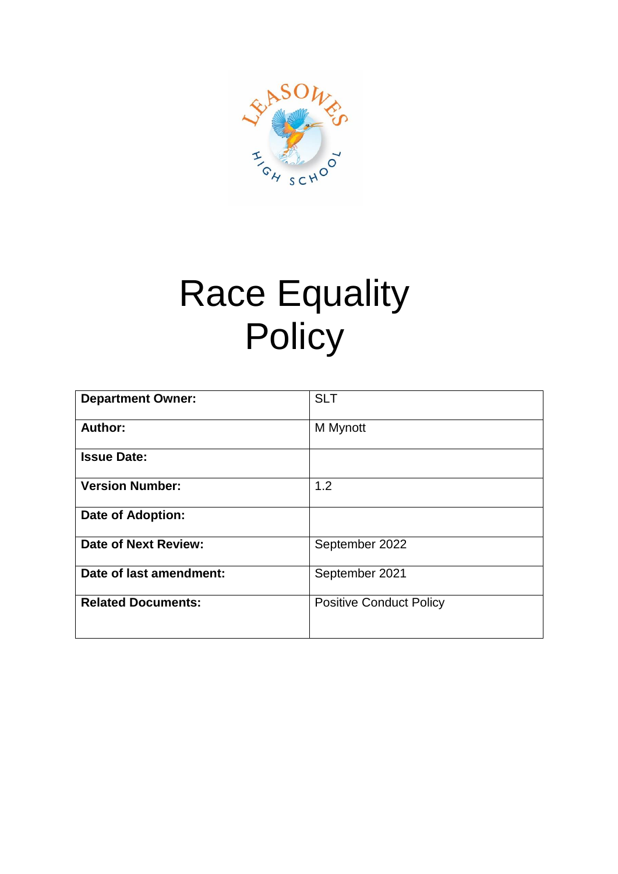

# Race Equality **Policy**

| <b>Department Owner:</b>    | <b>SLT</b>                     |
|-----------------------------|--------------------------------|
|                             |                                |
|                             |                                |
| Author:                     | M Mynott                       |
|                             |                                |
| <b>Issue Date:</b>          |                                |
|                             |                                |
| <b>Version Number:</b>      | 1.2                            |
|                             |                                |
| <b>Date of Adoption:</b>    |                                |
|                             |                                |
| <b>Date of Next Review:</b> | September 2022                 |
|                             |                                |
|                             |                                |
| Date of last amendment:     | September 2021                 |
|                             |                                |
| <b>Related Documents:</b>   | <b>Positive Conduct Policy</b> |
|                             |                                |
|                             |                                |
|                             |                                |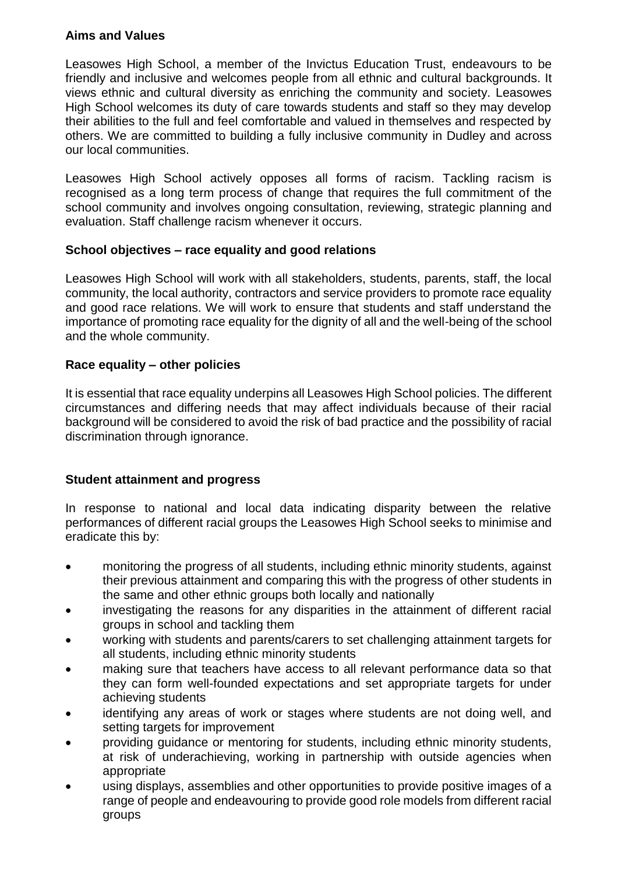## **Aims and Values**

Leasowes High School, a member of the Invictus Education Trust, endeavours to be friendly and inclusive and welcomes people from all ethnic and cultural backgrounds. It views ethnic and cultural diversity as enriching the community and society. Leasowes High School welcomes its duty of care towards students and staff so they may develop their abilities to the full and feel comfortable and valued in themselves and respected by others. We are committed to building a fully inclusive community in Dudley and across our local communities.

Leasowes High School actively opposes all forms of racism. Tackling racism is recognised as a long term process of change that requires the full commitment of the school community and involves ongoing consultation, reviewing, strategic planning and evaluation. Staff challenge racism whenever it occurs.

## **School objectives – race equality and good relations**

Leasowes High School will work with all stakeholders, students, parents, staff, the local community, the local authority, contractors and service providers to promote race equality and good race relations. We will work to ensure that students and staff understand the importance of promoting race equality for the dignity of all and the well-being of the school and the whole community.

## **Race equality – other policies**

It is essential that race equality underpins all Leasowes High School policies. The different circumstances and differing needs that may affect individuals because of their racial background will be considered to avoid the risk of bad practice and the possibility of racial discrimination through ignorance.

## **Student attainment and progress**

In response to national and local data indicating disparity between the relative performances of different racial groups the Leasowes High School seeks to minimise and eradicate this by:

- monitoring the progress of all students, including ethnic minority students, against their previous attainment and comparing this with the progress of other students in the same and other ethnic groups both locally and nationally
- investigating the reasons for any disparities in the attainment of different racial groups in school and tackling them
- working with students and parents/carers to set challenging attainment targets for all students, including ethnic minority students
- making sure that teachers have access to all relevant performance data so that they can form well-founded expectations and set appropriate targets for under achieving students
- identifying any areas of work or stages where students are not doing well, and setting targets for improvement
- providing guidance or mentoring for students, including ethnic minority students, at risk of underachieving, working in partnership with outside agencies when appropriate
- using displays, assemblies and other opportunities to provide positive images of a range of people and endeavouring to provide good role models from different racial groups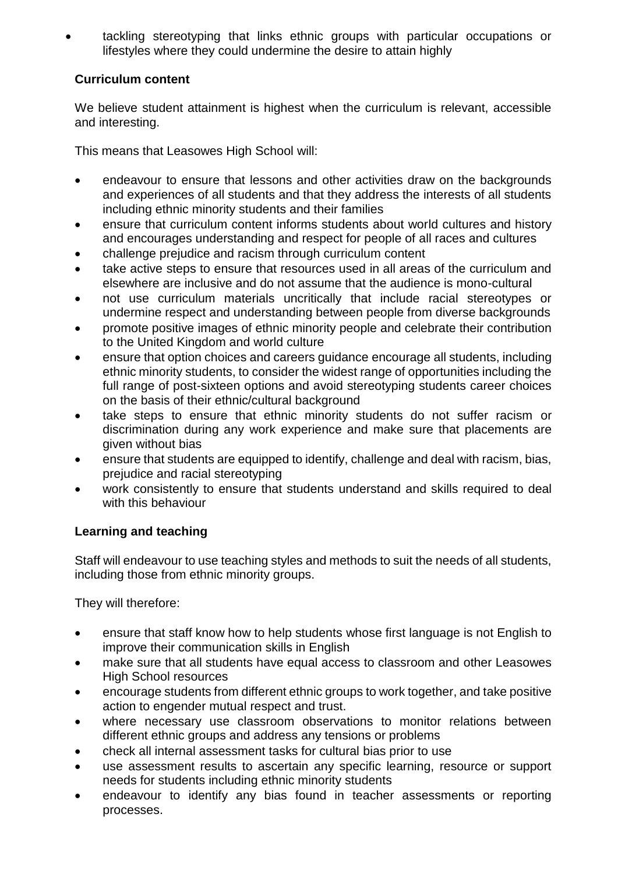• tackling stereotyping that links ethnic groups with particular occupations or lifestyles where they could undermine the desire to attain highly

# **Curriculum content**

We believe student attainment is highest when the curriculum is relevant, accessible and interesting.

This means that Leasowes High School will:

- endeavour to ensure that lessons and other activities draw on the backgrounds and experiences of all students and that they address the interests of all students including ethnic minority students and their families
- ensure that curriculum content informs students about world cultures and history and encourages understanding and respect for people of all races and cultures
- challenge prejudice and racism through curriculum content
- take active steps to ensure that resources used in all areas of the curriculum and elsewhere are inclusive and do not assume that the audience is mono-cultural
- not use curriculum materials uncritically that include racial stereotypes or undermine respect and understanding between people from diverse backgrounds
- promote positive images of ethnic minority people and celebrate their contribution to the United Kingdom and world culture
- ensure that option choices and careers guidance encourage all students, including ethnic minority students, to consider the widest range of opportunities including the full range of post-sixteen options and avoid stereotyping students career choices on the basis of their ethnic/cultural background
- take steps to ensure that ethnic minority students do not suffer racism or discrimination during any work experience and make sure that placements are given without bias
- ensure that students are equipped to identify, challenge and deal with racism, bias, prejudice and racial stereotyping
- work consistently to ensure that students understand and skills required to deal with this behaviour

# **Learning and teaching**

Staff will endeavour to use teaching styles and methods to suit the needs of all students, including those from ethnic minority groups.

They will therefore:

- ensure that staff know how to help students whose first language is not English to improve their communication skills in English
- make sure that all students have equal access to classroom and other Leasowes High School resources
- encourage students from different ethnic groups to work together, and take positive action to engender mutual respect and trust.
- where necessary use classroom observations to monitor relations between different ethnic groups and address any tensions or problems
- check all internal assessment tasks for cultural bias prior to use
- use assessment results to ascertain any specific learning, resource or support needs for students including ethnic minority students
- endeavour to identify any bias found in teacher assessments or reporting processes.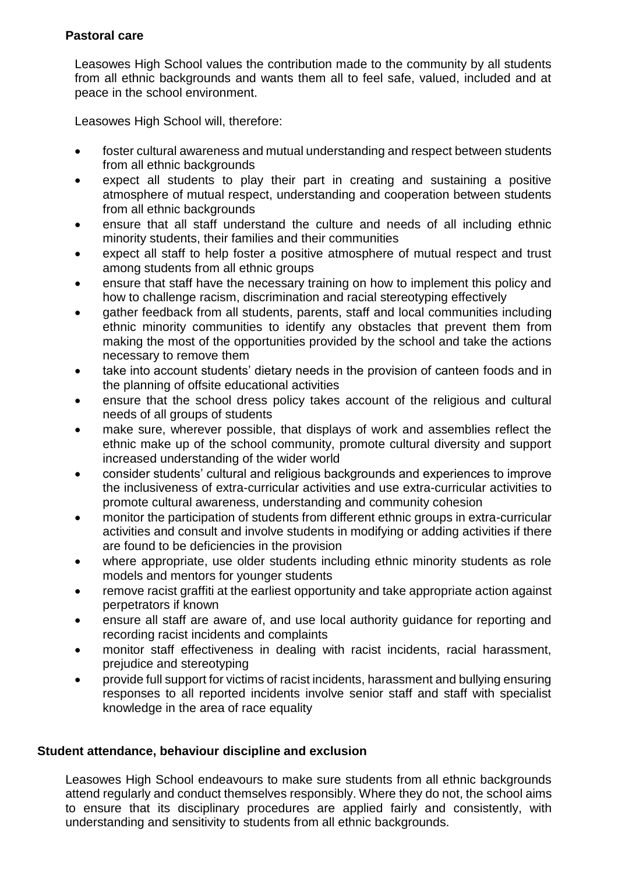## **Pastoral care**

Leasowes High School values the contribution made to the community by all students from all ethnic backgrounds and wants them all to feel safe, valued, included and at peace in the school environment.

Leasowes High School will, therefore:

- foster cultural awareness and mutual understanding and respect between students from all ethnic backgrounds
- expect all students to play their part in creating and sustaining a positive atmosphere of mutual respect, understanding and cooperation between students from all ethnic backgrounds
- ensure that all staff understand the culture and needs of all including ethnic minority students, their families and their communities
- expect all staff to help foster a positive atmosphere of mutual respect and trust among students from all ethnic groups
- ensure that staff have the necessary training on how to implement this policy and how to challenge racism, discrimination and racial stereotyping effectively
- gather feedback from all students, parents, staff and local communities including ethnic minority communities to identify any obstacles that prevent them from making the most of the opportunities provided by the school and take the actions necessary to remove them
- take into account students' dietary needs in the provision of canteen foods and in the planning of offsite educational activities
- ensure that the school dress policy takes account of the religious and cultural needs of all groups of students
- make sure, wherever possible, that displays of work and assemblies reflect the ethnic make up of the school community, promote cultural diversity and support increased understanding of the wider world
- consider students' cultural and religious backgrounds and experiences to improve the inclusiveness of extra-curricular activities and use extra-curricular activities to promote cultural awareness, understanding and community cohesion
- monitor the participation of students from different ethnic groups in extra-curricular activities and consult and involve students in modifying or adding activities if there are found to be deficiencies in the provision
- where appropriate, use older students including ethnic minority students as role models and mentors for younger students
- remove racist graffiti at the earliest opportunity and take appropriate action against perpetrators if known
- ensure all staff are aware of, and use local authority guidance for reporting and recording racist incidents and complaints
- monitor staff effectiveness in dealing with racist incidents, racial harassment, prejudice and stereotyping
- provide full support for victims of racist incidents, harassment and bullying ensuring responses to all reported incidents involve senior staff and staff with specialist knowledge in the area of race equality

# **Student attendance, behaviour discipline and exclusion**

Leasowes High School endeavours to make sure students from all ethnic backgrounds attend regularly and conduct themselves responsibly. Where they do not, the school aims to ensure that its disciplinary procedures are applied fairly and consistently, with understanding and sensitivity to students from all ethnic backgrounds.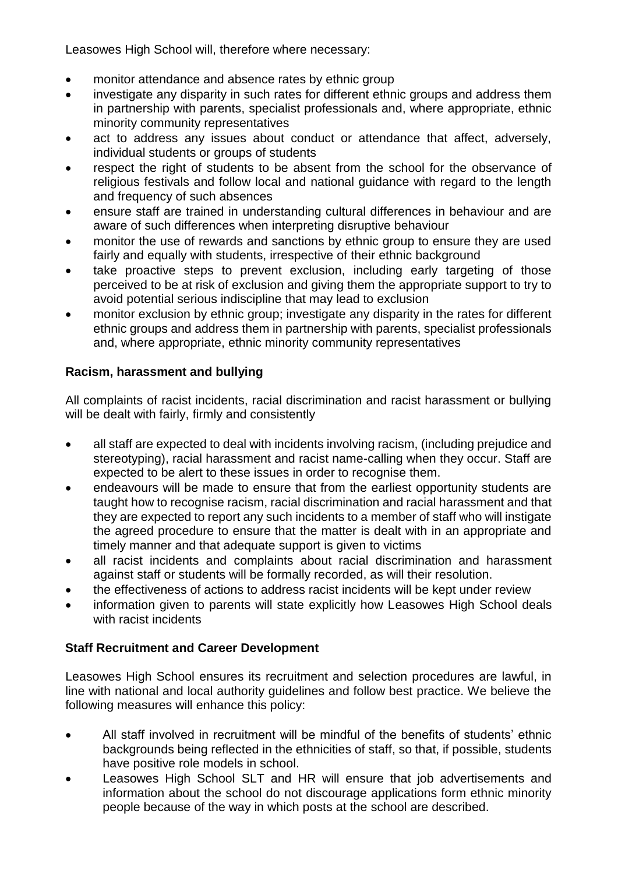Leasowes High School will, therefore where necessary:

- monitor attendance and absence rates by ethnic group
- investigate any disparity in such rates for different ethnic groups and address them in partnership with parents, specialist professionals and, where appropriate, ethnic minority community representatives
- act to address any issues about conduct or attendance that affect, adversely, individual students or groups of students
- respect the right of students to be absent from the school for the observance of religious festivals and follow local and national guidance with regard to the length and frequency of such absences
- ensure staff are trained in understanding cultural differences in behaviour and are aware of such differences when interpreting disruptive behaviour
- monitor the use of rewards and sanctions by ethnic group to ensure they are used fairly and equally with students, irrespective of their ethnic background
- take proactive steps to prevent exclusion, including early targeting of those perceived to be at risk of exclusion and giving them the appropriate support to try to avoid potential serious indiscipline that may lead to exclusion
- monitor exclusion by ethnic group; investigate any disparity in the rates for different ethnic groups and address them in partnership with parents, specialist professionals and, where appropriate, ethnic minority community representatives

# **Racism, harassment and bullying**

All complaints of racist incidents, racial discrimination and racist harassment or bullying will be dealt with fairly, firmly and consistently

- all staff are expected to deal with incidents involving racism, (including prejudice and stereotyping), racial harassment and racist name-calling when they occur. Staff are expected to be alert to these issues in order to recognise them.
- endeavours will be made to ensure that from the earliest opportunity students are taught how to recognise racism, racial discrimination and racial harassment and that they are expected to report any such incidents to a member of staff who will instigate the agreed procedure to ensure that the matter is dealt with in an appropriate and timely manner and that adequate support is given to victims
- all racist incidents and complaints about racial discrimination and harassment against staff or students will be formally recorded, as will their resolution.
- the effectiveness of actions to address racist incidents will be kept under review
- information given to parents will state explicitly how Leasowes High School deals with racist incidents

# **Staff Recruitment and Career Development**

Leasowes High School ensures its recruitment and selection procedures are lawful, in line with national and local authority guidelines and follow best practice. We believe the following measures will enhance this policy:

- All staff involved in recruitment will be mindful of the benefits of students' ethnic backgrounds being reflected in the ethnicities of staff, so that, if possible, students have positive role models in school.
- Leasowes High School SLT and HR will ensure that job advertisements and information about the school do not discourage applications form ethnic minority people because of the way in which posts at the school are described.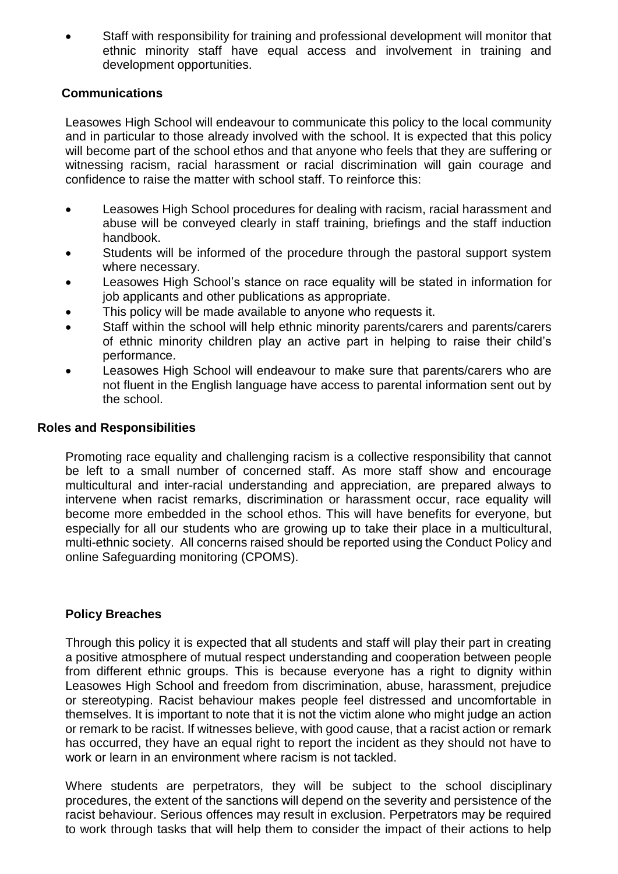• Staff with responsibility for training and professional development will monitor that ethnic minority staff have equal access and involvement in training and development opportunities.

#### **Communications**

Leasowes High School will endeavour to communicate this policy to the local community and in particular to those already involved with the school. It is expected that this policy will become part of the school ethos and that anyone who feels that they are suffering or witnessing racism, racial harassment or racial discrimination will gain courage and confidence to raise the matter with school staff. To reinforce this:

- Leasowes High School procedures for dealing with racism, racial harassment and abuse will be conveyed clearly in staff training, briefings and the staff induction handbook.
- Students will be informed of the procedure through the pastoral support system where necessary.
- Leasowes High School's stance on race equality will be stated in information for job applicants and other publications as appropriate.
- This policy will be made available to anyone who requests it.
- Staff within the school will help ethnic minority parents/carers and parents/carers of ethnic minority children play an active part in helping to raise their child's performance.
- Leasowes High School will endeavour to make sure that parents/carers who are not fluent in the English language have access to parental information sent out by the school.

#### **Roles and Responsibilities**

Promoting race equality and challenging racism is a collective responsibility that cannot be left to a small number of concerned staff. As more staff show and encourage multicultural and inter-racial understanding and appreciation, are prepared always to intervene when racist remarks, discrimination or harassment occur, race equality will become more embedded in the school ethos. This will have benefits for everyone, but especially for all our students who are growing up to take their place in a multicultural, multi-ethnic society. All concerns raised should be reported using the Conduct Policy and online Safeguarding monitoring (CPOMS).

#### **Policy Breaches**

Through this policy it is expected that all students and staff will play their part in creating a positive atmosphere of mutual respect understanding and cooperation between people from different ethnic groups. This is because everyone has a right to dignity within Leasowes High School and freedom from discrimination, abuse, harassment, prejudice or stereotyping. Racist behaviour makes people feel distressed and uncomfortable in themselves. It is important to note that it is not the victim alone who might judge an action or remark to be racist. If witnesses believe, with good cause, that a racist action or remark has occurred, they have an equal right to report the incident as they should not have to work or learn in an environment where racism is not tackled.

Where students are perpetrators, they will be subject to the school disciplinary procedures, the extent of the sanctions will depend on the severity and persistence of the racist behaviour. Serious offences may result in exclusion. Perpetrators may be required to work through tasks that will help them to consider the impact of their actions to help